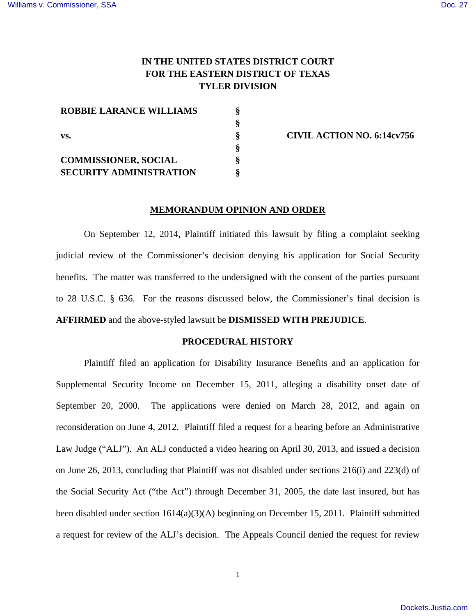# **IN THE UNITED STATES DISTRICT COURT FOR THE EASTERN DISTRICT OF TEXAS TYLER DIVISION**

| <b>ROBBIE LARANCE WILLIAMS</b> |  |
|--------------------------------|--|
|                                |  |
| VS.                            |  |
|                                |  |
| <b>COMMISSIONER, SOCIAL</b>    |  |
| <b>SECURITY ADMINISTRATION</b> |  |

**§ CIVIL ACTION NO. 6:14cv756** 

#### **MEMORANDUM OPINION AND ORDER**

On September 12, 2014, Plaintiff initiated this lawsuit by filing a complaint seeking judicial review of the Commissioner's decision denying his application for Social Security benefits. The matter was transferred to the undersigned with the consent of the parties pursuant to 28 U.S.C. § 636. For the reasons discussed below, the Commissioner's final decision is **AFFIRMED** and the above-styled lawsuit be **DISMISSED WITH PREJUDICE**.

## **PROCEDURAL HISTORY**

Plaintiff filed an application for Disability Insurance Benefits and an application for Supplemental Security Income on December 15, 2011, alleging a disability onset date of September 20, 2000. The applications were denied on March 28, 2012, and again on reconsideration on June 4, 2012. Plaintiff filed a request for a hearing before an Administrative Law Judge ("ALJ"). An ALJ conducted a video hearing on April 30, 2013, and issued a decision on June 26, 2013, concluding that Plaintiff was not disabled under sections 216(i) and 223(d) of the Social Security Act ("the Act") through December 31, 2005, the date last insured, but has been disabled under section 1614(a)(3)(A) beginning on December 15, 2011. Plaintiff submitted a request for review of the ALJ's decision. The Appeals Council denied the request for review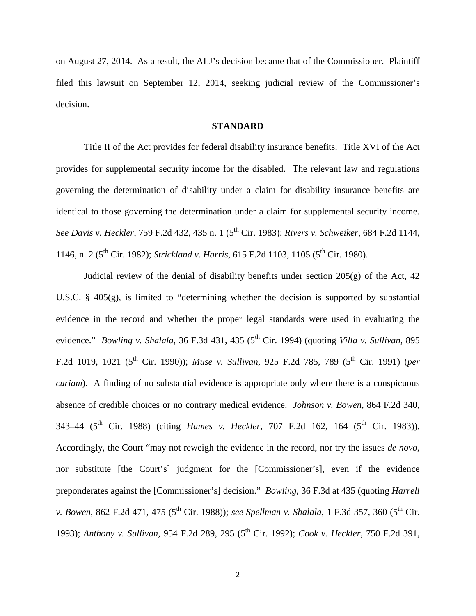on August 27, 2014. As a result, the ALJ's decision became that of the Commissioner. Plaintiff filed this lawsuit on September 12, 2014, seeking judicial review of the Commissioner's decision.

## **STANDARD**

Title II of the Act provides for federal disability insurance benefits. Title XVI of the Act provides for supplemental security income for the disabled. The relevant law and regulations governing the determination of disability under a claim for disability insurance benefits are identical to those governing the determination under a claim for supplemental security income. *See Davis v. Heckler*, 759 F.2d 432, 435 n. 1 (5th Cir. 1983); *Rivers v. Schweiker*, 684 F.2d 1144, 1146, n. 2 (5<sup>th</sup> Cir. 1982); *Strickland v. Harris*, 615 F.2d 1103, 1105 (5<sup>th</sup> Cir. 1980).

Judicial review of the denial of disability benefits under section  $205(g)$  of the Act, 42 U.S.C. § 405(g), is limited to "determining whether the decision is supported by substantial evidence in the record and whether the proper legal standards were used in evaluating the evidence." *Bowling v. Shalala*, 36 F.3d 431, 435 (5<sup>th</sup> Cir. 1994) (quoting *Villa v. Sullivan*, 895 F.2d 1019, 1021 (5<sup>th</sup> Cir. 1990)); *Muse v. Sullivan*, 925 F.2d 785, 789 (5<sup>th</sup> Cir. 1991) (*per curiam*). A finding of no substantial evidence is appropriate only where there is a conspicuous absence of credible choices or no contrary medical evidence. *Johnson v. Bowen*, 864 F.2d 340, 343–44 (5<sup>th</sup> Cir. 1988) (citing *Hames v. Heckler*, 707 F.2d 162, 164 (5<sup>th</sup> Cir. 1983)). Accordingly, the Court "may not reweigh the evidence in the record, nor try the issues *de novo*, nor substitute [the Court's] judgment for the [Commissioner's], even if the evidence preponderates against the [Commissioner's] decision." *Bowling*, 36 F.3d at 435 (quoting *Harrell v. Bowen*, 862 F.2d 471, 475 (5<sup>th</sup> Cir. 1988)); *see Spellman v. Shalala*, 1 F.3d 357, 360 (5<sup>th</sup> Cir. 1993); *Anthony v. Sullivan*, 954 F.2d 289, 295 (5<sup>th</sup> Cir. 1992); *Cook v. Heckler*, 750 F.2d 391,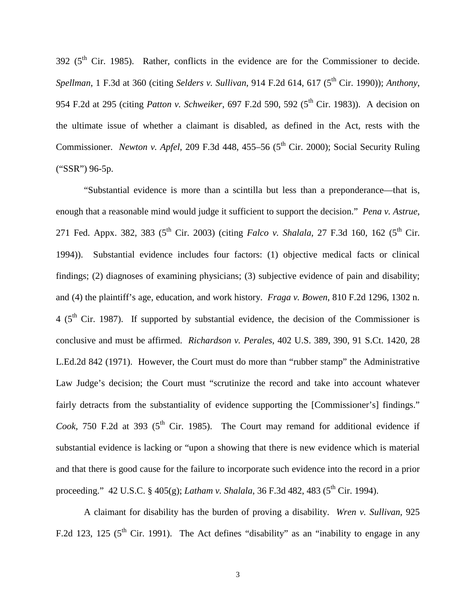$392$  ( $5<sup>th</sup>$  Cir. 1985). Rather, conflicts in the evidence are for the Commissioner to decide. *Spellman*, 1 F.3d at 360 (citing *Selders v. Sullivan*, 914 F.2d 614, 617 (5th Cir. 1990)); *Anthony*, 954 F.2d at 295 (citing *Patton v. Schweiker*, 697 F.2d 590, 592 (5<sup>th</sup> Cir. 1983)). A decision on the ultimate issue of whether a claimant is disabled, as defined in the Act, rests with the Commissioner. *Newton v. Apfel*, 209 F.3d 448, 455–56 (5<sup>th</sup> Cir. 2000); Social Security Ruling ("SSR") 96-5p.

"Substantial evidence is more than a scintilla but less than a preponderance—that is, enough that a reasonable mind would judge it sufficient to support the decision." *Pena v. Astrue*, 271 Fed. Appx. 382, 383 (5<sup>th</sup> Cir. 2003) (citing *Falco v. Shalala*, 27 F.3d 160, 162 (5<sup>th</sup> Cir. 1994)). Substantial evidence includes four factors: (1) objective medical facts or clinical findings; (2) diagnoses of examining physicians; (3) subjective evidence of pain and disability; and (4) the plaintiff's age, education, and work history. *Fraga v. Bowen*, 810 F.2d 1296, 1302 n.  $4$  ( $5<sup>th</sup>$  Cir. 1987). If supported by substantial evidence, the decision of the Commissioner is conclusive and must be affirmed. *Richardson v. Perales*, 402 U.S. 389, 390, 91 S.Ct. 1420, 28 L.Ed.2d 842 (1971). However, the Court must do more than "rubber stamp" the Administrative Law Judge's decision; the Court must "scrutinize the record and take into account whatever fairly detracts from the substantiality of evidence supporting the [Commissioner's] findings." *Cook*, 750 F.2d at 393 ( $5<sup>th</sup>$  Cir. 1985). The Court may remand for additional evidence if substantial evidence is lacking or "upon a showing that there is new evidence which is material and that there is good cause for the failure to incorporate such evidence into the record in a prior proceeding." 42 U.S.C. § 405(g); *Latham v. Shalala*, 36 F.3d 482, 483 (5<sup>th</sup> Cir. 1994).

A claimant for disability has the burden of proving a disability. *Wren v. Sullivan*, 925 F.2d 123, 125 ( $5<sup>th</sup>$  Cir. 1991). The Act defines "disability" as an "inability to engage in any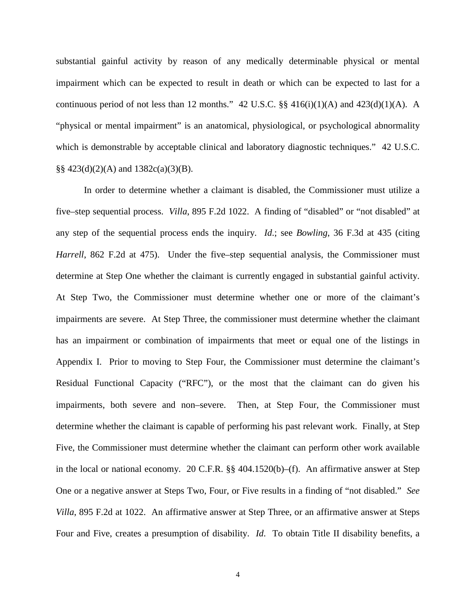substantial gainful activity by reason of any medically determinable physical or mental impairment which can be expected to result in death or which can be expected to last for a continuous period of not less than 12 months." 42 U.S.C.  $\S$  416(i)(1)(A) and 423(d)(1)(A). A "physical or mental impairment" is an anatomical, physiological, or psychological abnormality which is demonstrable by acceptable clinical and laboratory diagnostic techniques." 42 U.S.C. §§  $423(d)(2)(A)$  and  $1382c(a)(3)(B)$ .

 In order to determine whether a claimant is disabled, the Commissioner must utilize a five–step sequential process. *Villa*, 895 F.2d 1022. A finding of "disabled" or "not disabled" at any step of the sequential process ends the inquiry. *Id*.; see *Bowling*, 36 F.3d at 435 (citing *Harrell*, 862 F.2d at 475). Under the five–step sequential analysis, the Commissioner must determine at Step One whether the claimant is currently engaged in substantial gainful activity. At Step Two, the Commissioner must determine whether one or more of the claimant's impairments are severe. At Step Three, the commissioner must determine whether the claimant has an impairment or combination of impairments that meet or equal one of the listings in Appendix I. Prior to moving to Step Four, the Commissioner must determine the claimant's Residual Functional Capacity ("RFC"), or the most that the claimant can do given his impairments, both severe and non–severe. Then, at Step Four, the Commissioner must determine whether the claimant is capable of performing his past relevant work. Finally, at Step Five, the Commissioner must determine whether the claimant can perform other work available in the local or national economy. 20 C.F.R. §§ 404.1520(b)–(f). An affirmative answer at Step One or a negative answer at Steps Two, Four, or Five results in a finding of "not disabled." *See Villa*, 895 F.2d at 1022. An affirmative answer at Step Three, or an affirmative answer at Steps Four and Five, creates a presumption of disability. *Id*. To obtain Title II disability benefits, a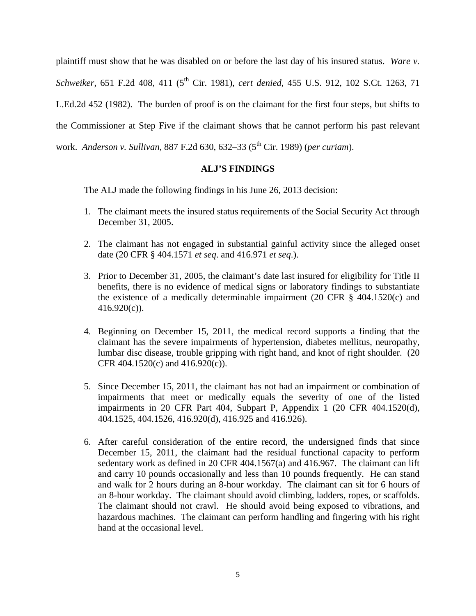plaintiff must show that he was disabled on or before the last day of his insured status. *Ware v. Schweiker*, 651 F.2d 408, 411 (5<sup>th</sup> Cir. 1981), *cert denied*, 455 U.S. 912, 102 S.Ct. 1263, 71 L.Ed.2d 452 (1982). The burden of proof is on the claimant for the first four steps, but shifts to the Commissioner at Step Five if the claimant shows that he cannot perform his past relevant work. *Anderson v. Sullivan*, 887 F.2d 630, 632–33 (5<sup>th</sup> Cir. 1989) (*per curiam*).

# **ALJ'S FINDINGS**

The ALJ made the following findings in his June 26, 2013 decision:

- 1. The claimant meets the insured status requirements of the Social Security Act through December 31, 2005.
- 2. The claimant has not engaged in substantial gainful activity since the alleged onset date (20 CFR § 404.1571 *et seq*. and 416.971 *et seq*.).
- 3. Prior to December 31, 2005, the claimant's date last insured for eligibility for Title II benefits, there is no evidence of medical signs or laboratory findings to substantiate the existence of a medically determinable impairment (20 CFR  $\S$  404.1520(c) and  $416.920(c)$ ).
- 4. Beginning on December 15, 2011, the medical record supports a finding that the claimant has the severe impairments of hypertension, diabetes mellitus, neuropathy, lumbar disc disease, trouble gripping with right hand, and knot of right shoulder. (20 CFR 404.1520(c) and 416.920(c)).
- 5. Since December 15, 2011, the claimant has not had an impairment or combination of impairments that meet or medically equals the severity of one of the listed impairments in 20 CFR Part 404, Subpart P, Appendix 1 (20 CFR 404.1520(d), 404.1525, 404.1526, 416.920(d), 416.925 and 416.926).
- 6. After careful consideration of the entire record, the undersigned finds that since December 15, 2011, the claimant had the residual functional capacity to perform sedentary work as defined in 20 CFR 404.1567(a) and 416.967. The claimant can lift and carry 10 pounds occasionally and less than 10 pounds frequently. He can stand and walk for 2 hours during an 8-hour workday. The claimant can sit for 6 hours of an 8-hour workday. The claimant should avoid climbing, ladders, ropes, or scaffolds. The claimant should not crawl. He should avoid being exposed to vibrations, and hazardous machines. The claimant can perform handling and fingering with his right hand at the occasional level.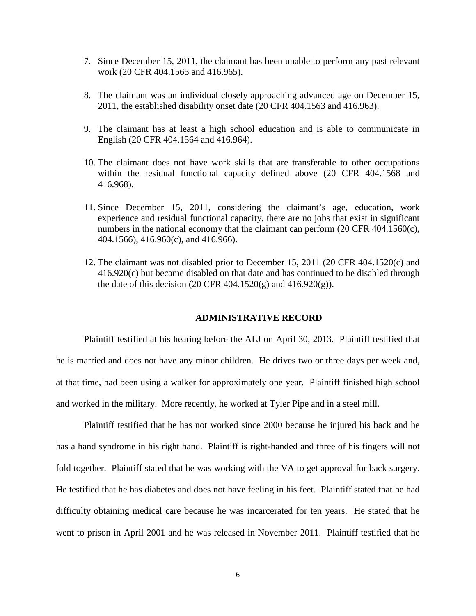- 7. Since December 15, 2011, the claimant has been unable to perform any past relevant work (20 CFR 404.1565 and 416.965).
- 8. The claimant was an individual closely approaching advanced age on December 15, 2011, the established disability onset date (20 CFR 404.1563 and 416.963).
- 9. The claimant has at least a high school education and is able to communicate in English (20 CFR 404.1564 and 416.964).
- 10. The claimant does not have work skills that are transferable to other occupations within the residual functional capacity defined above (20 CFR 404.1568 and 416.968).
- 11. Since December 15, 2011, considering the claimant's age, education, work experience and residual functional capacity, there are no jobs that exist in significant numbers in the national economy that the claimant can perform (20 CFR 404.1560(c), 404.1566), 416.960(c), and 416.966).
- 12. The claimant was not disabled prior to December 15, 2011 (20 CFR 404.1520(c) and 416.920(c) but became disabled on that date and has continued to be disabled through the date of this decision (20 CFR 404.1520(g) and  $416.920(g)$ ).

# **ADMINISTRATIVE RECORD**

Plaintiff testified at his hearing before the ALJ on April 30, 2013. Plaintiff testified that he is married and does not have any minor children. He drives two or three days per week and, at that time, had been using a walker for approximately one year. Plaintiff finished high school and worked in the military. More recently, he worked at Tyler Pipe and in a steel mill.

Plaintiff testified that he has not worked since 2000 because he injured his back and he has a hand syndrome in his right hand. Plaintiff is right-handed and three of his fingers will not fold together. Plaintiff stated that he was working with the VA to get approval for back surgery. He testified that he has diabetes and does not have feeling in his feet. Plaintiff stated that he had difficulty obtaining medical care because he was incarcerated for ten years. He stated that he went to prison in April 2001 and he was released in November 2011. Plaintiff testified that he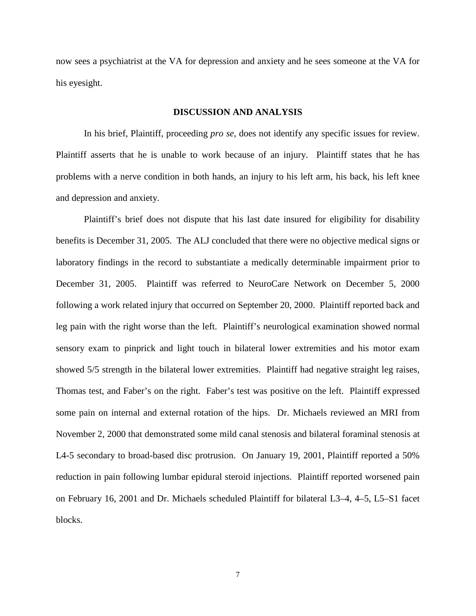now sees a psychiatrist at the VA for depression and anxiety and he sees someone at the VA for his eyesight.

# **DISCUSSION AND ANALYSIS**

 In his brief, Plaintiff, proceeding *pro se*, does not identify any specific issues for review. Plaintiff asserts that he is unable to work because of an injury. Plaintiff states that he has problems with a nerve condition in both hands, an injury to his left arm, his back, his left knee and depression and anxiety.

Plaintiff's brief does not dispute that his last date insured for eligibility for disability benefits is December 31, 2005. The ALJ concluded that there were no objective medical signs or laboratory findings in the record to substantiate a medically determinable impairment prior to December 31, 2005. Plaintiff was referred to NeuroCare Network on December 5, 2000 following a work related injury that occurred on September 20, 2000. Plaintiff reported back and leg pain with the right worse than the left. Plaintiff's neurological examination showed normal sensory exam to pinprick and light touch in bilateral lower extremities and his motor exam showed 5/5 strength in the bilateral lower extremities. Plaintiff had negative straight leg raises, Thomas test, and Faber's on the right. Faber's test was positive on the left. Plaintiff expressed some pain on internal and external rotation of the hips. Dr. Michaels reviewed an MRI from November 2, 2000 that demonstrated some mild canal stenosis and bilateral foraminal stenosis at L4-5 secondary to broad-based disc protrusion. On January 19, 2001, Plaintiff reported a 50% reduction in pain following lumbar epidural steroid injections. Plaintiff reported worsened pain on February 16, 2001 and Dr. Michaels scheduled Plaintiff for bilateral L3–4, 4–5, L5–S1 facet blocks.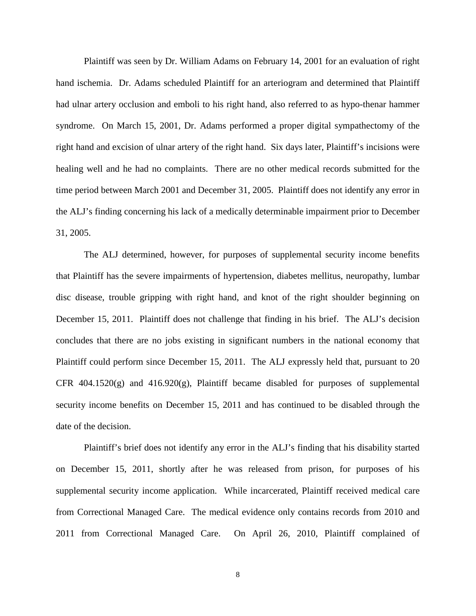Plaintiff was seen by Dr. William Adams on February 14, 2001 for an evaluation of right hand ischemia. Dr. Adams scheduled Plaintiff for an arteriogram and determined that Plaintiff had ulnar artery occlusion and emboli to his right hand, also referred to as hypo-thenar hammer syndrome. On March 15, 2001, Dr. Adams performed a proper digital sympathectomy of the right hand and excision of ulnar artery of the right hand. Six days later, Plaintiff's incisions were healing well and he had no complaints. There are no other medical records submitted for the time period between March 2001 and December 31, 2005. Plaintiff does not identify any error in the ALJ's finding concerning his lack of a medically determinable impairment prior to December 31, 2005.

The ALJ determined, however, for purposes of supplemental security income benefits that Plaintiff has the severe impairments of hypertension, diabetes mellitus, neuropathy, lumbar disc disease, trouble gripping with right hand, and knot of the right shoulder beginning on December 15, 2011. Plaintiff does not challenge that finding in his brief. The ALJ's decision concludes that there are no jobs existing in significant numbers in the national economy that Plaintiff could perform since December 15, 2011. The ALJ expressly held that, pursuant to 20 CFR  $404.1520(g)$  and  $416.920(g)$ , Plaintiff became disabled for purposes of supplemental security income benefits on December 15, 2011 and has continued to be disabled through the date of the decision.

Plaintiff's brief does not identify any error in the ALJ's finding that his disability started on December 15, 2011, shortly after he was released from prison, for purposes of his supplemental security income application. While incarcerated, Plaintiff received medical care from Correctional Managed Care. The medical evidence only contains records from 2010 and 2011 from Correctional Managed Care. On April 26, 2010, Plaintiff complained of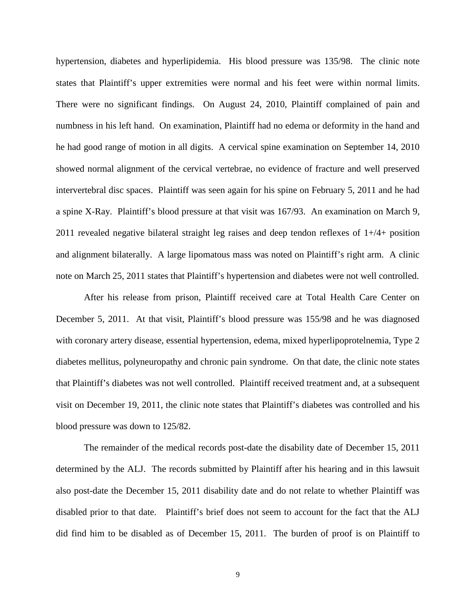hypertension, diabetes and hyperlipidemia. His blood pressure was 135/98. The clinic note states that Plaintiff's upper extremities were normal and his feet were within normal limits. There were no significant findings. On August 24, 2010, Plaintiff complained of pain and numbness in his left hand. On examination, Plaintiff had no edema or deformity in the hand and he had good range of motion in all digits. A cervical spine examination on September 14, 2010 showed normal alignment of the cervical vertebrae, no evidence of fracture and well preserved intervertebral disc spaces. Plaintiff was seen again for his spine on February 5, 2011 and he had a spine X-Ray. Plaintiff's blood pressure at that visit was 167/93. An examination on March 9, 2011 revealed negative bilateral straight leg raises and deep tendon reflexes of  $1+/4+$  position and alignment bilaterally. A large lipomatous mass was noted on Plaintiff's right arm. A clinic note on March 25, 2011 states that Plaintiff's hypertension and diabetes were not well controlled.

After his release from prison, Plaintiff received care at Total Health Care Center on December 5, 2011. At that visit, Plaintiff's blood pressure was 155/98 and he was diagnosed with coronary artery disease, essential hypertension, edema, mixed hyperlipoprotelnemia, Type 2 diabetes mellitus, polyneuropathy and chronic pain syndrome. On that date, the clinic note states that Plaintiff's diabetes was not well controlled. Plaintiff received treatment and, at a subsequent visit on December 19, 2011, the clinic note states that Plaintiff's diabetes was controlled and his blood pressure was down to 125/82.

The remainder of the medical records post-date the disability date of December 15, 2011 determined by the ALJ. The records submitted by Plaintiff after his hearing and in this lawsuit also post-date the December 15, 2011 disability date and do not relate to whether Plaintiff was disabled prior to that date. Plaintiff's brief does not seem to account for the fact that the ALJ did find him to be disabled as of December 15, 2011. The burden of proof is on Plaintiff to